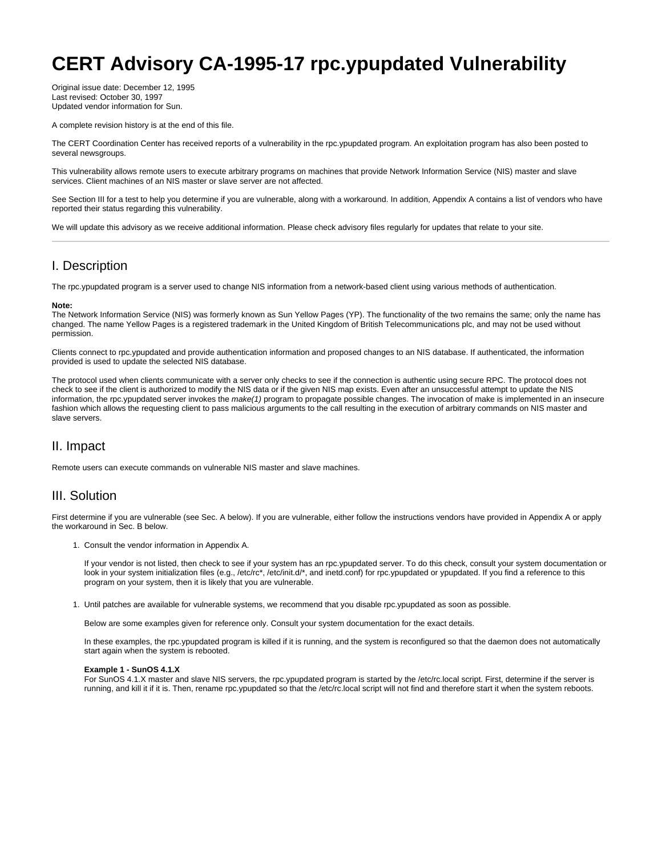# **CERT Advisory CA-1995-17 rpc.ypupdated Vulnerability**

Original issue date: December 12, 1995 Last revised: October 30, 1997 Updated vendor information for Sun.

A complete revision history is at the end of this file.

The CERT Coordination Center has received reports of a vulnerability in the rpc.ypupdated program. An exploitation program has also been posted to several newsgroups.

This vulnerability allows remote users to execute arbitrary programs on machines that provide Network Information Service (NIS) master and slave services. Client machines of an NIS master or slave server are not affected.

See Section III for a test to help you determine if you are vulnerable, along with a workaround. In addition, Appendix A contains a list of vendors who have reported their status regarding this vulnerability.

We will update this advisory as we receive additional information. Please check advisory files regularly for updates that relate to your site.

# I. Description

The rpc.ypupdated program is a server used to change NIS information from a network-based client using various methods of authentication.

#### **Note:**

The Network Information Service (NIS) was formerly known as Sun Yellow Pages (YP). The functionality of the two remains the same; only the name has changed. The name Yellow Pages is a registered trademark in the United Kingdom of British Telecommunications plc, and may not be used without permission.

Clients connect to rpc.ypupdated and provide authentication information and proposed changes to an NIS database. If authenticated, the information provided is used to update the selected NIS database.

The protocol used when clients communicate with a server only checks to see if the connection is authentic using secure RPC. The protocol does not check to see if the client is authorized to modify the NIS data or if the given NIS map exists. Even after an unsuccessful attempt to update the NIS information, the rpc.ypupdated server invokes the make(1) program to propagate possible changes. The invocation of make is implemented in an insecure fashion which allows the requesting client to pass malicious arguments to the call resulting in the execution of arbitrary commands on NIS master and slave servers.

# II. Impact

Remote users can execute commands on vulnerable NIS master and slave machines.

# III. Solution

First determine if you are vulnerable (see Sec. A below). If you are vulnerable, either follow the instructions vendors have provided in Appendix A or apply the workaround in Sec. B below.

1. Consult the vendor information in Appendix A.

If your vendor is not listed, then check to see if your system has an rpc.ypupdated server. To do this check, consult your system documentation or look in your system initialization files (e.g., /etc/rc\*, /etc/init.d/\*, and inetd.conf) for rpc.ypupdated or ypupdated. If you find a reference to this program on your system, then it is likely that you are vulnerable.

1. Until patches are available for vulnerable systems, we recommend that you disable rpc.ypupdated as soon as possible.

Below are some examples given for reference only. Consult your system documentation for the exact details.

In these examples, the rpc.ypupdated program is killed if it is running, and the system is reconfigured so that the daemon does not automatically start again when the system is rebooted.

#### **Example 1 - SunOS 4.1.X**

For SunOS 4.1.X master and slave NIS servers, the rpc.ypupdated program is started by the /etc/rc.local script. First, determine if the server is running, and kill it if it is. Then, rename rpc.ypupdated so that the /etc/rc.local script will not find and therefore start it when the system reboots.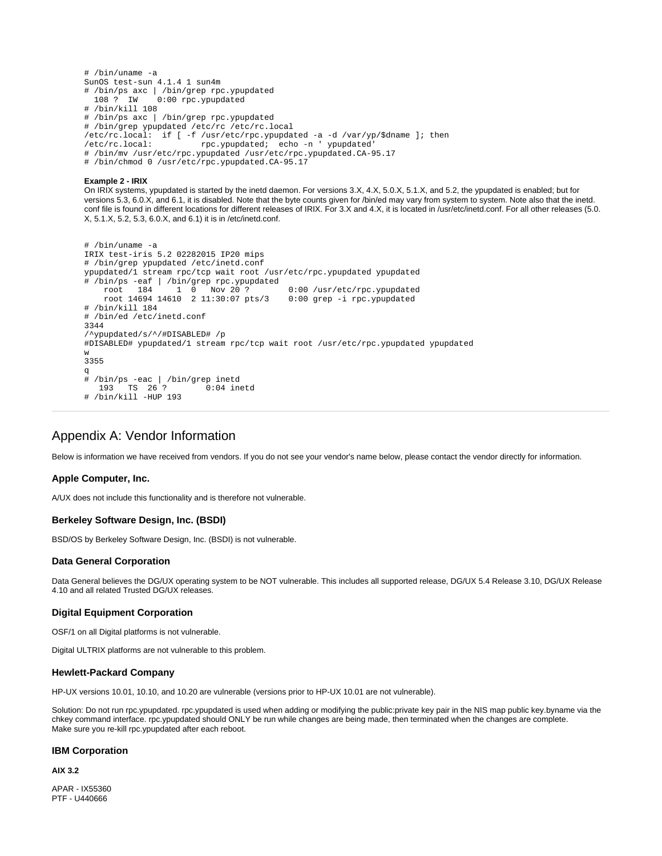```
# /bin/uname -a
SunOS test-sun 4.1.4 1 sun4m
# /bin/ps axc | /bin/grep rpc.ypupdated
              0:00 rpc.ypupdated
# /bin/kill 108
# /bin/ps axc | /bin/grep rpc.ypupdated
# /bin/grep ypupdated /etc/rc /etc/rc.local
/etc/rc.local: if [ -f /usr/etc/rpc.ypupdated -a -d /var/yp/$dname ]; then
/etc/rc.local: rpc.ypupdated; echo -n ' ypupdated'
# /bin/mv /usr/etc/rpc.ypupdated /usr/etc/rpc.ypupdated.CA-95.17
# /bin/chmod 0 /usr/etc/rpc.ypupdated.CA-95.17
```
**Example 2 - IRIX**

On IRIX systems, ypupdated is started by the inetd daemon. For versions 3.X, 4.X, 5.0.X, 5.1.X, and 5.2, the ypupdated is enabled; but for versions 5.3, 6.0.X, and 6.1, it is disabled. Note that the byte counts given for /bin/ed may vary from system to system. Note also that the inetd. conf file is found in different locations for different releases of IRIX. For 3.X and 4.X, it is located in /usr/etc/inetd.conf. For all other releases (5.0. X, 5.1.X, 5.2, 5.3, 6.0.X, and 6.1) it is in /etc/inetd.conf.

```
# /bin/uname -a
IRIX test-iris 5.2 02282015 IP20 mips
# /bin/grep ypupdated /etc/inetd.conf
ypupdated/1 stream rpc/tcp wait root /usr/etc/rpc.ypupdated ypupdated
# /bin/ps -eaf | /bin/grep rpc.ypupdated
                                         0:00 /usr/etc/rpc.ypupdated
     root 14694 14610 2 11:30:07 pts/3 0:00 grep -i rpc.ypupdated
# /bin/kill 184
# /bin/ed /etc/inetd.conf
3344
/^ypupdated/s/^/#DISABLED# /p
#DISABLED# ypupdated/1 stream rpc/tcp wait root /usr/etc/rpc.ypupdated ypupdated
w
3355
q
# /bin/ps -eac | /bin/grep inetd
        TS 26 ?
# /bin/kill -HUP 193
```
# Appendix A: Vendor Information

Below is information we have received from vendors. If you do not see your vendor's name below, please contact the vendor directly for information.

# **Apple Computer, Inc.**

A/UX does not include this functionality and is therefore not vulnerable.

# **Berkeley Software Design, Inc. (BSDI)**

BSD/OS by Berkeley Software Design, Inc. (BSDI) is not vulnerable.

#### **Data General Corporation**

Data General believes the DG/UX operating system to be NOT vulnerable. This includes all supported release, DG/UX 5.4 Release 3.10, DG/UX Release 4.10 and all related Trusted DG/UX releases.

#### **Digital Equipment Corporation**

OSF/1 on all Digital platforms is not vulnerable.

Digital ULTRIX platforms are not vulnerable to this problem.

#### **Hewlett-Packard Company**

HP-UX versions 10.01, 10.10, and 10.20 are vulnerable (versions prior to HP-UX 10.01 are not vulnerable).

Solution: Do not run rpc.ypupdated. rpc.ypupdated is used when adding or modifying the public:private key pair in the NIS map public key.byname via the chkey command interface. rpc.ypupdated should ONLY be run while changes are being made, then terminated when the changes are complete. Make sure you re-kill rpc.ypupdated after each reboot.

#### **IBM Corporation**

**AIX 3.2**

APAR - IX55360 PTF - U440666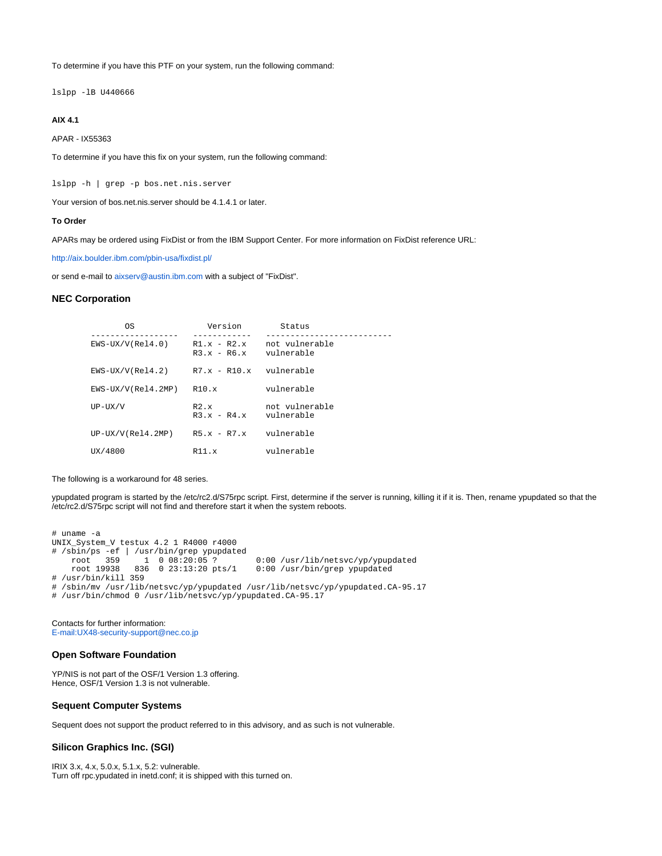To determine if you have this PTF on your system, run the following command:

lslpp -lB U440666

# **AIX 4.1**

APAR - IX55363

To determine if you have this fix on your system, run the following command:

lslpp -h | grep -p bos.net.nis.server

Your version of bos.net.nis.server should be 4.1.4.1 or later.

#### **To Order**

APARs may be ordered using FixDist or from the IBM Support Center. For more information on FixDist reference URL:

<http://aix.boulder.ibm.com/pbin-usa/fixdist.pl/>

or send e-mail to [aixserv@austin.ibm.com](mailto:aixserv@austin.ibm.com) with a subject of "FixDist".

## **NEC Corporation**

| 0S                   | Version                        | Status                       |
|----------------------|--------------------------------|------------------------------|
| $EWS-UX/V(Rel4.0)$   | $R1.x - R2.x$<br>$R3.x - R6.x$ | not vulnerable<br>vulnerable |
| $EWS-UX/V(Rel4.2)$   | $R7.x - R10.x$                 | vulnerable                   |
| $EWS-UX/V(Rel4.2MP)$ | R10.x                          | vulnerable                   |
| $UP-UX/V$            | $R2 \times$<br>$R3.x - R4.x$   | not vulnerable<br>vulnerable |
| $UP-UX/V(Rel4.2MP)$  | $R5.x - R7.x$                  | vulnerable                   |
| UX/4800              | R11.x                          | vulnerable                   |

The following is a workaround for 48 series.

ypupdated program is started by the /etc/rc2.d/S75rpc script. First, determine if the server is running, killing it if it is. Then, rename ypupdated so that the /etc/rc2.d/S75rpc script will not find and therefore start it when the system reboots.

```
# uname -a
UNIX_System_V testux 4.2 1 R4000 r4000
# /sbin/ps -ef | /usr/bin/grep ypupdated
 root 359 1 0 08:20:05 ? 0:00 /usr/lib/netsvc/yp/ypupdated
 root 19938 836 0 23:13:20 pts/1 0:00 /usr/bin/grep ypupdated
# /usr/bin/kill 359
# /sbin/mv /usr/lib/netsvc/yp/ypupdated /usr/lib/netsvc/yp/ypupdated.CA-95.17
# /usr/bin/chmod 0 /usr/lib/netsvc/yp/ypupdated.CA-95.17
```
Contacts for further information: [E-mail:UX48-security-support@nec.co.jp](mailto:E-mail:UX48-security-support@nec.co.jp)

## **Open Software Foundation**

YP/NIS is not part of the OSF/1 Version 1.3 offering. Hence, OSF/1 Version 1.3 is not vulnerable.

# **Sequent Computer Systems**

Sequent does not support the product referred to in this advisory, and as such is not vulnerable.

## **Silicon Graphics Inc. (SGI)**

IRIX 3.x, 4.x, 5.0.x, 5.1.x, 5.2: vulnerable. Turn off rpc.ypudated in inetd.conf; it is shipped with this turned on.